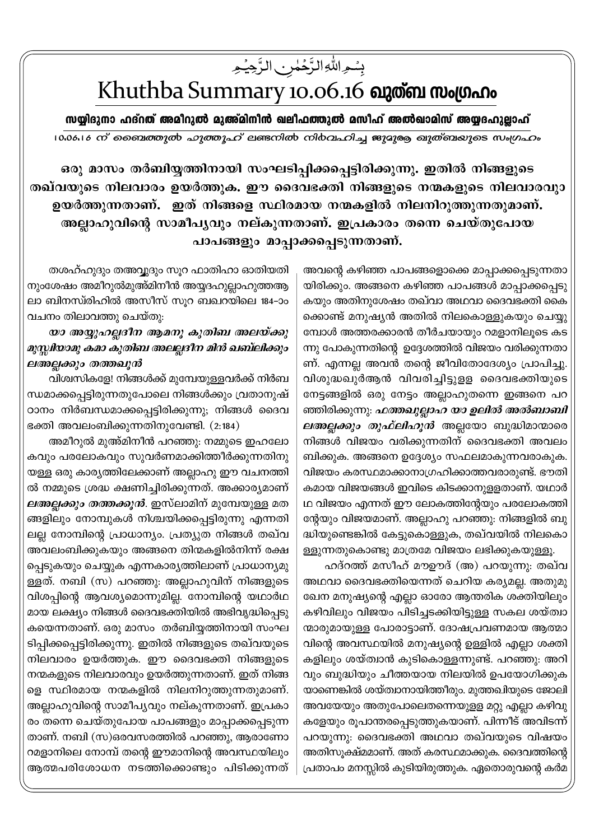بِسُمِ اللَّهِ الزَّحْمٰنِ الزَّحِيُمِ

## Khuthba Summary 10.06.16 ณาตัด พงเตกาง

സയ്യിദുനാ ഹദ്നത് അമീറുൽ മുഅ്മിനീൻ ഖലീഫത്തുൽ മസീഹ് അൽഖാമിസ് അയ്യദഹുല്ലാഹ് 10.06.16 ന് ബൈത്തുൽ ഹുത്തൂഹ് ലണ്ടനിൽ നിർവഹിച്ച ജുദുരു ഖുത്ബയുടെ സംഗ്രഹം

ഒരു മാസം തർബിയ്യത്തിനായി സംഘടിപ്പിക്കപ്പെട്ടിരിക്കുന്നു. ഇതിൽ നിങ്ങളുടെ തഖ്വയുടെ നിലവാരം ഉയർത്തുക. ഈ ദൈവഭക്തി നിങ്ങളുടെ നന്മകളുടെ നിലവാരവുാ ഉയർത്തുന്നതാണ്. ഇത് നിങ്ങളെ സ്ഥിരമായ നന്മകളിൽ നിലനിറുത്തുന്നതുമാണ്. അല്ലാഹുവിന്റെ സാമീപൃവും നല്കുന്നതാണ്. ഇപ്രകാരം തന്നെ ചെയ്തുപോയ പാപങ്ങളും മാപ്പാക്കപ്പെടുന്നതാണ്.

> അവന്റെ കഴിഞ്ഞ പാപങ്ങളൊക്കെ മാപ്പാക്കപ്പെടുന്നതാ യിരിക്കും. അങ്ങനെ കഴിഞ്ഞ പാപങ്ങൾ മാപ്പാക്കപ്പെടു കയും അതിനുശേഷം തഖ്വാ അഥവാ ദൈവഭക്തി കൈ ക്കൊണ്ട് മനുഷ്യൻ അതിൽ നിലകൊള്ളുകയും ചെയ്യു മ്പോൾ അത്തരക്കാരൻ തീർചയായും റമളാനിലൂടെ കട ന്നു പോകുന്നതിന്റെ ഉദ്ദേശത്തിൽ വിജയം വരിക്കുന്നതാ ണ്. എന്നല്ല അവൻ തന്റെ ജീവിതോദേശ്യം പ്രാപിച്ചു. വിശുദ്ധഖുർആൻ വിവരിച്ചിട്ടുളള ദൈവഭക്തിയുടെ നേട്ടങ്ങളിൽ ഒരു നേട്ടം അല്ലാഹുതന്നെ ഇങ്ങനെ പറ ഞ്ഞിരിക്കുന്നു: *ഫത്തഖുല്ലാഹ യാ ഉലിൽ അൽബാബി ലഅല്ലക്കും തുഫ്ലിഹൂൻ* അല്ലയോ ബുദ്ധിമാന്മാരെ നിങ്ങൾ വിജയം വരിക്കുന്നതിന് ദൈവഭക്തി അവലം ബിക്കുക. അങ്ങനെ ഉദ്ദേശ്യം സഫലമാകുന്നവരാകുക. വിജയം കരസ്ഥമാക്കാനാഗ്രഹിക്കാത്തവരാരുണ്ട്. ഭൗതി കമായ വിജയങ്ങൾ ഇവിടെ കിടക്കാനുള്ളതാണ്. യഥാർ ഥ വിജയം എന്നത് ഈ ലോകത്തിന്റേയും പരലോകത്തി ന്റേയും വിജയമാണ്. അല്ലാഹു പറഞ്ഞു: നിങ്ങളിൽ ബു ദ്ധിയുണ്ടെങ്കിൽ കേട്ടുകൊള്ളുക, തഖ്വയിൽ നിലകൊ ള്ളുന്നതുകൊണ്ടു മാത്രമേ വിജയം ലഭിക്കുകയുള്ളൂ.

> ഹദ്റത്ത് മസീഹ് മൗഊദ് (അ) പറയുന്നു: തഖ്വ അഥവാ ദൈവഭക്തിയെന്നത് ചെറിയ കര്യമല്ല. അതുമു ഖേന മനുഷ്യന്റെ എല്ലാ ഓരോ ആന്തരിക ശക്തിയിലും കഴിവിലും വിജയം പിടിച്ചടക്കിയിട്ടുള്ള സകല ശയ്ത്വാ ന്മാരുമായുള്ള പോരാട്ടാണ്. ദോഷപ്രവണമായ ആത്മാ വിന്റെ അവസ്ഥയിൽ മനുഷ്യന്റെ ഉള്ളിൽ എല്ലാ ശക്തി കളിലും ശയ്ത്വാൻ കുടികൊള്ളന്നുണ്ട്. പറഞ്ഞു: അറി വും ബുദ്ധിയും ചീത്തയായ നിലയിൽ ഉപയോഗിക്കുക യാണെങ്കിൽ ശയ്ത്വാനായിത്തീരും. മുത്തഖിയുടെ ജോലി അവയേയും അതുപോലെതന്നെയുളള മറ്റു എല്ലാ കഴിവു കളേയും രൂപാന്തരപ്പെടുത്തുകയാണ്. പിന്നീട് അവിടന്ന് പറയുന്നു: ദൈവഭക്തി അഥവാ തഖ്വയുടെ വിഷയം അതിസൂക്ഷ്മമാണ്. അത് കരസ്ഥമാക്കുക. ദൈവത്തിന്റെ പ്രതാപം മനസ്സിൽ കുടിയിരുത്തുക. ഏതൊരുവന്റെ കർമ

തശഹ്ഹുദും തഅവ്വദും സൂറ ഫാതിഹാ ഓതിയതി നുംശേഷം അമീറുൽമുഅ്മിനീൻ അയ്യദഹുല്ലാഹുത്തആ ലാ ബിനസ്രിഹിൽ അസീസ് സുറ ബഖറയിലെ 184-ാം വചനം തിലാവത്തു ചെയ്തു:

യാ അയ്യുഹല്ലദീന ആമനു കുതിബ അലയ്ക്കു മുസ്സിയാമു കമാ കുതിബ അലല്ലദീന മിൻ ഖബ്ലിക്കും ലഅല്ലക്കും തത്തഖൂൻ

വിശ്വസികളേ! നിങ്ങൾക്ക് മുമ്പേയുളളവർക്ക് നിർബ ന്ധമാക്കപ്പെട്ടിരുന്നതുപോലെ നിങ്ങൾക്കും വ്രതാനുഷ് ഠാനം നിർബന്ധമാക്കപ്പെട്ടിരിക്കുന്നു; നിങ്ങൾ ദൈവ ഭക്തി അവലംബിക്കുന്നതിനുവേണ്ടി.  $(2:184)$ 

അമീറുൽ മുഅ്മിനീൻ പറഞ്ഞു: നമ്മുടെ ഇഹലോ കവും പരലോകവും സുവർണമാക്കിത്തീർക്കുന്നതിനു യള്ള ഒരു കാര്യത്തിലേക്കാണ് അല്ലാഹു ഈ വചനത്തി ൽ നമ്മുടെ ശ്രദ്ധ ക്ഷണിച്ചിരിക്കുന്നത്. അക്കാര്യമാണ് *ലഅല്ലക്കും തത്തക്കൂൻ*. ഇസ്ലാമിന് മുമ്പേയുള്ള മത ങ്ങളിലും നോമ്പുകൾ നിശ്ചയിക്കപ്പെട്ടിരുന്നു എന്നതി ലല്ല നോമ്പിന്റെ പ്രാധാന്യം. പ്രത്യുത നിങ്ങൾ തഖ്വ അവലംബിക്കുകയും അങ്ങനെ തിന്മകളിൽനിന്ന് രക്ഷ പ്പെടുകയും ചെയ്യുക എന്നകാര്യത്തിലാണ് പ്രാധാന്യമു ള്ളത്. നബി (സ) പറഞ്ഞു: അല്ലാഹുവിന് നിങ്ങളുടെ വിശപ്പിന്റെ ആവശ്യമൊന്നുമില്ല. നോമ്പിന്റെ യഥാർഥ മായ ലക്ഷ്യം നിങ്ങൾ ദൈവഭക്തിയിൽ അഭിവൃദ്ധിപ്പെടു കയെന്നതാണ്. ഒരു മാസം തർബിയ്യത്തിനായി സംഘ ടിപ്പിക്കപ്പെട്ടിരിക്കുന്നു. ഇതിൽ നിങ്ങളുടെ തഖ്വയുടെ നിലവാരം ഉയർത്തുക. ഈ ദൈവഭക്തി നിങ്ങളുടെ നന്മകളുടെ നിലവാരവും ഉയർത്തുന്നതാണ്. ഇത് നിങ്ങ ളെ സ്ഥിരമായ നന്മകളിൽ നിലനിറുത്തുന്നതുമാണ്. അല്ലാഹുവിന്റെ സാമീപ്യവും നല്കുന്നതാണ്. ഇപ്രകാ രം തന്നെ ചെയ്തുപോയ പാപങ്ങളും മാപ്പാക്കപ്പെടുന്ന താണ്. നബി (സ)ഒരവസരത്തിൽ പറഞ്ഞു, ആരാണോ റമളാനിലെ നോമ്പ് തന്റെ ഈമാനിന്റെ അവസ്ഥയിലും ആത്മപരിശോധന നടത്തിക്കൊണ്ടും പിടിക്കുന്നത്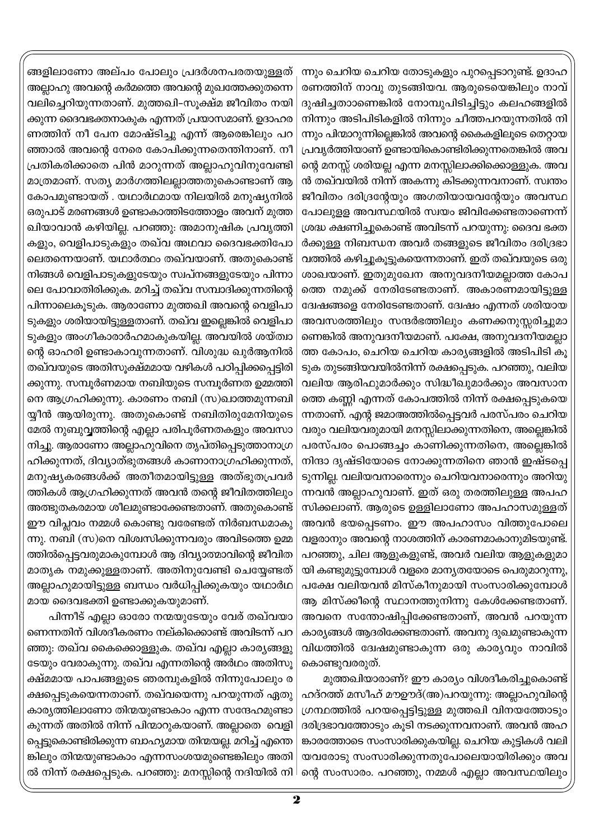ന്നും ചെറിയ ചെറിയ തോടുകളും പുറപ്പെടാറുണ്ട്. ഉദാഹ രണത്തിന് നാവു തുടങ്ങിയവ. ആരുടെയെങ്കിലും നാവ് ദുഷിച്ചതാാണെങ്കിൽ നോമ്പുപിടിച്ചിട്ടും കലഹങ്ങളിൽ നിന്നും അടിപിടികളിൽ നിന്നും ചീത്തപറയുന്നതിൽ നി ന്നും പിന്മാറുന്നില്ലെങ്കിൽ അവന്റെ കൈകളിലൂടെ തെറ്റായ പ്രവൃർത്തിയാണ് ഉണ്ടായികൊണ്ടിരിക്കുന്നതെങ്കിൽ അവ ന്റെ മനസ്സ് ശരിയല്ല എന്ന മനസ്സിലാക്കിക്കൊള്ളുക. അവ ൻ തഖ്വയിൽ നിന്ന് അകന്നു കിടക്കുന്നവനാണ്. സ്വന്തം ജീവിതം ദരിദ്രന്റേയും അഗതിയായവന്റേയും അവസ്ഥ പോലുളള അവസ്ഥയിൽ സ്വയം ജിവിക്കേണ്ടതാണെന്ന് ശ്രദ്ധ ക്ഷണിച്ചുകൊണ്ട് അവിടന്ന് പറയുന്നു: ദൈവ ഭക്ത ർക്കുള്ള നിബന്ധന അവർ തങ്ങളുടെ ജീവിതം ദരിദ്രഭാ വത്തിൽ കഴിച്ചുകൂട്ടുകയെന്നതാണ്. ഇത് തഖ്വയുടെ ഒരു ശാഖയാണ്. ഇതുമുഖേന അനുവദനീയമല്ലാത്ത കോപ ത്തെ നമുക്ക് നേരിടേണ്ടതാണ്. അകാരണമായിട്ടുള്ള ദ്വേഷങ്ങളെ നേരിടേണ്ടതാണ്. ദ്വേഷം എന്നത് ശരിയായ അവസരത്തിലും സന്ദർഭത്തിലും കണക്കനുസ്സരിച്ചുമാ ണെങ്കിൽ അനുവദനീയമാണ്. പക്ഷേ, അനുവദനീയമല്ലാ ത്ത കോപം, ചെറിയ ചെറിയ കാര്യങ്ങളിൽ അടിപിടി കൂ ടുക തുടങ്ങിയവയിൽനിന്ന് രക്ഷപ്പെടുക. പറഞ്ഞു, വലിയ വലിയ ആരിഫുമാർക്കും സിദ്ധീഖുമാർക്കും അവസാന ത്തെ കണ്ണി എന്നത് കോപത്തിൽ നിന്ന് രക്ഷപ്പെടുകയെ ന്നതാണ്. എന്റ ജമാഅത്തിൽപ്പെട്ടവർ പരസ്പരം ചെറിയ വരും വലിയവരുമായി മനസ്സിലാക്കുന്നതിനെ, അല്ലെങ്കിൽ പരസ്പരം പൊങ്ങച്ചം കാണിക്കുന്നതിനെ, അല്ലെങ്കിൽ നിന്ദാ ദൃഷ്ടിയോടെ നോക്കുന്നതിനെ ഞാൻ ഇഷ്ടപ്പെ ടുന്നില്ല. വലിയവനാരെന്നും ചെറിയവനാരെന്നും അറിയു ന്നവൻ അല്ലാഹുവാണ്. ഇത് ഒരു തരത്തിലുള്ള അപഹ സിക്കലാണ്. ആരുടെ ഉള്ളിലാണോ അപഹാസമുള്ളത് അവൻ ഭയപ്പെടണം. ഈ അപഹാസം വിത്തുപോലെ വളരാനും അവന്റെ നാശത്തിന് കാരണമാകാനുമിടയുണ്ട്. പറഞ്ഞു, ചില ആളുകളുണ്ട്, അവർ വലിയ ആളുകളുമാ യി കണ്ടുമുട്ടുമ്പോൾ വളരെ മാന്യതയോടെ പെരുമാറുന്നു, പക്ഷേ വലിയവൻ മിസ്കീനുമായി സംസാരിക്കുമ്പോൾ ആ മിസ്ക്കീന്റെ സ്ഥാനത്തുനിന്നു കേൾക്കേണ്ടതാണ്. അവനെ സന്തോഷിപ്പിക്കേണ്ടതാണ്, അവൻ പറയുന്ന കാര്യങ്ങൾ ആദരിക്കേണ്ടതാണ്. അവനു ദുഖമുണ്ടാകുന്ന വിധത്തിൽ ദ്വേഷമുണ്ടാകുന്ന ഒരു കാര്യവും നാവിൽ കൊണ്ടുവരരുത്.

മുത്തഖിയാരാണ്? ഈ കാര്യം വിശദീകരിച്ചുകൊണ്ട് ഹദ്റത്ത് മസീഹ് മൗഊദ്(അ)പറയുന്നു: അല്ലാഹുവിന്റെ ഗ്രന്ഥത്തിൽ പറയപ്പെട്ടിട്ടുള്ള മുത്തഖി വിനയത്തോടും ദരിദ്രഭാവത്തോടും കൂടി നടക്കുന്നവനാണ്. അവൻ അഹ ങ്കാരത്തോടെ സംസാരിക്കുകയില്ല. ചെറിയ കുട്ടികൾ വലി യവരോടു സംസാരിക്കുന്നതുപോലെയായിരിക്കും അവ ന്റെ സംസാരം. പറഞ്ഞു, നമ്മൾ എല്ലാ അവസ്ഥയിലും

ങ്ങളിലാണോ അല്പം പോലും പ്രദർശനപരതയുള്ളത് അല്ലാഹു അവന്റെ കർമത്തെ അവന്റെ മുഖത്തേക്കുതന്നെ വലിച്ചെറിയുന്നതാണ്. മുത്തഖി-സൂക്ഷ്മ ജീവിതം നയി ക്കുന്ന ദൈവഭക്തനാകുക എന്നത് പ്രയാസമാണ്. ഉദാഹര ണത്തിന് നീ പേന മോഷ്ടിച്ചു എന്ന് ആരെങ്കിലും പറ ഞ്ഞാൽ അവന്റെ നേരെ കോപിക്കുന്നതെന്തിനാണ്. നീ പ്രതികരിക്കാതെ പിൻ മാറുന്നത് അല്ലാഹുവിനുവേണ്ടി മാത്രമാണ്. സത്യ മാർഗത്തിലല്ലാത്തതുകൊണ്ടാണ് ആ കോപമുണ്ടായത് . യഥാർഥമായ നിലയിൽ മനുഷ്യനിൽ ഒരുപാട് മരണങ്ങൾ ഉണ്ടാകാത്തിടത്തോളം അവന് മുത്ത ഖിയാവാൻ കഴിയില്ല. പറഞ്ഞു: അമാനുഷിക പ്രവൃത്തി കളും, വെളിപാടുകളും തഖ്വ അഥവാ ദൈവഭക്തിപോ ലെതന്നെയാണ്. യഥാർത്ഥം തഖ്വയാണ്. അതുകൊണ്ട് നിങ്ങൾ വെളിപാടുകളുടേയും സ്വപ്നങ്ങളുടേയും പിന്നാ ലെ പോവാതിരിക്കുക. മറിച്ച് തഖ്വ സമ്പാദിക്കുന്നതിന്റെ പിന്നാലെകൂടുക. ആരാണോ മുത്തഖി അവന്റെ വെളിപാ ടുകളും ശരിയായിട്ടുള്ളതാണ്. തഖ്വ ഇല്ലെങ്കിൽ വെളിപാ ടുകളും അംഗീകാരാർഹമാകുകയില്ല. അവയിൽ ശയ്ത്വാ ന്റെ ഓഹരി ഉണ്ടാകാവുന്നതാണ്. വിശുദ്ധ ഖുർആനിൽ തഖ്വയുടെ അതിസുക്ഷ്മമായ വഴികൾ പഠിപ്പിക്കപ്പെട്ടിരി ക്കുന്നു. സമ്പൂർണമായ നബിയുടെ സമ്പൂർണത ഉമ്മത്തി നെ ആഗ്രഹിക്കുന്നു. കാരണം നബി (സ)ഖാത്തമുന്നബി യ്യീൻ ആയിരുന്നു. അതുകൊണ്ട് നബിതിരുമേനിയുടെ മേൽ നുബുവ്വത്തിന്റെ എല്ലാ പരിപൂർണതകളും അവസാ നിച്ചു. ആരാണോ അല്ലാഹുവിനെ തൃപ്തിപ്പെടുത്താനാഗ്ര ഹിക്കുന്നത്, ദിവ്യാത്ഭുതങ്ങൾ കാണാനാഗ്രഹിക്കുന്നത്, മനുഷ്യകരങ്ങൾക്ക് അതീതമായിട്ടുള്ള അത്ഭുതപ്രവർ ത്തികൾ ആഗ്രഹിക്കുന്നത് അവൻ തന്റെ ജീവിതത്തിലും അത്ഭുതകരമായ ശീലമുണ്ടാക്കേണ്ടതാണ്. അതുകൊണ്ട് ഈ വിപ്ലവം നമ്മൾ കൊണ്ടു വരേണ്ടത് നിർബന്ധമാകു ന്നു. നബി (സ)നെ വിശ്വസിക്കുന്നവരും അവിടത്തെ ഉമ്മ ത്തിൽപ്പെട്ടവരുമാകുമ്പോൾ ആ ദിവ്യാത്മാവിന്റെ ജീവിത മാതൃക നമുക്കുള്ളതാണ്. അതിനുവേണ്ടി ചെയ്യേണ്ടത് അല്ലാഹുമായിട്ടുള്ള ബന്ധം വർധിപ്പിക്കുകയും യഥാർഥ മായ ദൈവഭക്തി ഉണ്ടാക്കുകയുമാണ്.

പിന്നീട് എല്ലാ ഓരോ നന്മയുടേയും വേര് തഖ്വയാ ണെന്നതിന് വിശദീകരണം നല്കിക്കൊണ്ട് അവിടന്ന് പറ ഞ്ഞു: തഖ്വ കൈക്കൊള്ളുക. തഖ്വ എല്ലാ കാര്യങ്ങളു ടേയും വേരാകുന്നു. തഖ്വ എന്നതിന്റെ അർഥം അതിസൂ ക്ഷ്മമായ പാപങ്ങളുടെ ഞരമ്പുകളിൽ നിന്നുപോലും ര ക്ഷപ്പെടുകയെന്നതാണ്. തഖ്വയെന്നു പറയുന്നത് ഏതു കാര്യത്തിലാണോ തിന്മയുണ്ടാകാം എന്ന സന്ദേഹമുണ്ടാ കുന്നത് അതിൽ നിന്ന് പിന്മാറുകയാണ്. അല്ലാതെ വെളി പ്പെട്ടുകൊണ്ടിരിക്കുന്ന ബാഹ്യമായ തിന്മയല്ല. മറിച്ച് എന്തെ ങ്കിലും തിന്മയുണ്ടാകാം എന്നസംശയമുണ്ടെങ്കിലും അതി ൽ നിന്ന് രക്ഷപ്പെടുക. പറഞ്ഞു: മനസ്സിന്റെ നദിയിൽ നി $\,$ l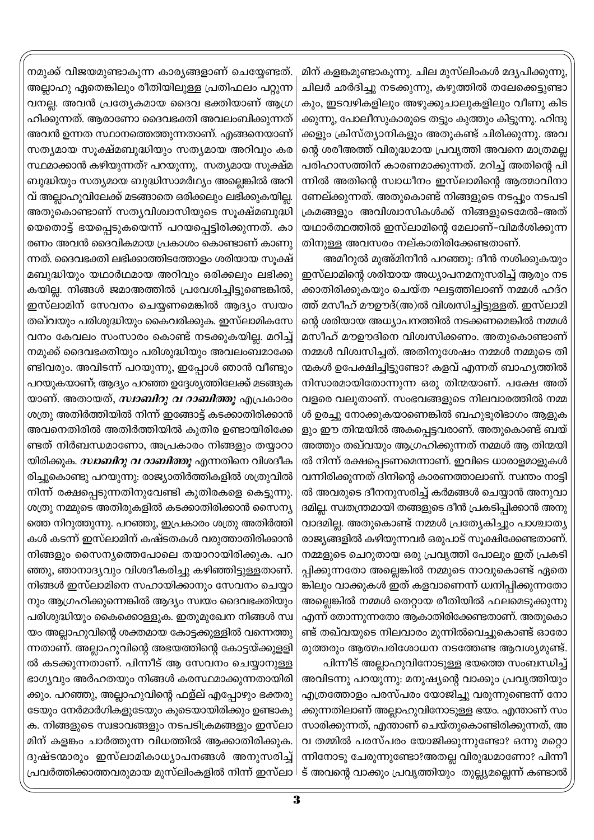മിന് കളങ്കമുണ്ടാകുന്നു. ചില മുസ്ലിംകൾ മദ്യപിക്കുന്നു, ചിലർ ഛർദിച്ചു നടക്കുന്നു, കഴുത്തിൽ തലേക്കെട്ടുണ്ടാ കും, ഇടവഴികളിലും അഴുക്കുചാലുകളിലും വീണു കിട ക്കുന്നു, പോലീസുകാരുടെ തട്ടും കുത്തും കിട്ടുന്നു. ഹിന്ദു ക്കളും ക്രിസ്ത്യാനികളും അതുകണ്ട് ചിരിക്കുന്നു. അവ ന്റെ ശരീഅത്ത് വിരുദ്ധമായ പ്രവൃത്തി അവനെ മാത്രമല്ല പരിഹാസത്തിന് കാരണമാക്കുന്നത്. മറിച്ച് അതിന്റെ പി ന്നിൽ അതിന്റെ സ്വാധീനം ഇസ്ലാമിന്റെ ആത്മാവിനാ ണേല്ക്കുന്നത്. അതുകൊണ്ട് നിങ്ങളുടെ നടപ്പും നടപടി ക്രമങ്ങളും അവിശ്വാസികൾക്ക് നിങ്ങളുടെമേൽ-അത് യഥാർത്ഥത്തിൽ ഇസ്ലാമിന്റെ മേലാണ്-വിമർശിക്കുന്ന തിനുള്ള അവസരം നല്കാതിരിക്കേണ്ടതാണ്.

അമീറുൽ മുഅ്മിനീൻ പറഞ്ഞു: ദീൻ നശിക്കുകയും ഇസ്ലാമിന്റെ ശരിയായ അധ്യാപനമനുസരിച്ച് ആരും നട ക്കാതിരിക്കുകയും ചെയ്ത ഘട്ടത്തിലാണ് നമ്മൾ ഹദ്റ ത്ത് മസീഹ് മൗഊദ്(അ)ൽ വിശ്വസിച്ചിട്ടുള്ളത്. ഇസ്ലാമി ന്റെ ശരിയായ അധ്യാപനത്തിൽ നടക്കണമെങ്കിൽ നമ്മൾ മസീഹ് മൗഊദിനെ വിശ്വസിക്കണം. അതുകൊണ്ടാണ് നമ്മൾ വിശ്വസിച്ചത്. അതിനുശേഷം നമ്മൾ നമ്മുടെ തി ന്മകൾ ഉപേക്ഷിച്ചിട്ടുണ്ടോ? കളവ് എന്നത് ബാഹൃത്തിൽ നിസാരമായിതോന്നുന്ന ഒരു തിന്മയാണ്. പക്ഷേ അത് വളരെ വലുതാണ്. സംഭവങ്ങളുടെ നിലവാരത്തിൽ നമ്മ ൾ ഉരച്ചു നോക്കുകയാണെങ്കിൽ ബഹുഭൂരിഭാഗം ആളുക ളും ഈ തിന്മയിൽ അകപ്പെട്ടവരാണ്. അതുകൊണ്ട് ബയ് അത്തും തഖ്വയും ആഗ്രഹിക്കുന്നത് നമ്മൾ ആ തിന്മയി ൽ നിന്ന് രക്ഷപ്പെടണമെന്നാണ്. ഇവിടെ ധാരാളമാളുകൾ വന്നിരിക്കുന്നത് ദിനിന്റെ കാരണത്താലാണ്. സ്വന്തം നാട്ടി ൽ അവരുടെ ദീനനുസരിച്ച് കർമങ്ങൾ ചെയ്യാൻ അനുവാ ദമില്ല. സ്ഥതന്ത്രമായി തങ്ങളുടെ ദീൻ പ്രകടിപ്പിക്കാൻ അനു വാദമില്ല. അതുകൊണ്ട് നമ്മൾ പ്രത്യേകിച്ചും പാശ്ചാത്യ രാജ്യങ്ങളിൽ കഴിയുന്നവർ ഒരുപാട് സൂക്ഷിക്കേണ്ടതാണ്. നമ്മളുടെ ചെറുതായ ഒരു പ്രവൃത്തി പോലും ഇത് പ്രകടി പ്പിക്കുന്നതോ അല്ലെങ്കിൽ നമ്മുടെ നാവുകൊണ്ട് ഏതെ ങ്കിലും വാക്കുകൾ ഇത് കളവാണെന്ന് ധ്വനിപ്പിക്കുന്നതോ അല്ലെങ്കിൽ നമ്മൾ തെറ്റായ രീതിയിൽ ഫലമെടുക്കുന്നു എന്ന് തോന്നുന്നതോ ആകാതിരിക്കേണ്ടതാണ്. അതുകൊ ണ്ട് തഖ്വയുടെ നിലവാരം മുന്നിൽവെച്ചുകൊണ്ട് ഓരോ രുത്തരും ആത്മപരിശോധന നടത്തേണ്ട ആവശ്യമുണ്ട്.

പിന്നീട് അല്ലാഹുവിനോടുള്ള ഭയത്തെ സംബന്ധിച്ച് അവിടന്നു പറയുന്നു: മനുഷ്യന്റെ വാക്കും പ്രവൃത്തിയും എത്രത്തോളം പരസ്പരം യോജിച്ചു വരുന്നുണ്ടെന്ന് നോ ക്കുന്നതിലാണ് അല്ലാഹുവിനോടുള്ള ഭയം. എന്താണ് സം സാരിക്കുന്നത്, എന്താണ് ചെയ്തുകൊണ്ടിരിക്കുന്നത്, അ വ തമ്മിൽ പരസ്പരം യോജിക്കുന്നുണ്ടോ? ഒന്നു മറ്റൊ ന്നിനോടു ചേരുന്നുണ്ടോ?അതല്ല വിരുദ്ധമാണോ? പിന്നീ ട് അവന്റെ വാക്കും പ്രവൃത്തിയും തുല്ല്യമല്ലെന്ന് കണ്ടാൽ

നമുക്ക് വിജയമുണ്ടാകുന്ന കാര്യങ്ങളാണ് ചെയ്യേണ്ടത്. അല്ലാഹു ഏതെങ്കിലും രീതിയിലുള്ള പ്രതിഫലം പറ്റുന്ന വനല്ല. അവൻ പ്രത്യേകമായ ദൈവ ഭക്തിയാണ് ആഗ്ര ഹിക്കുന്നത്. ആരാണോ ദൈവഭക്തി അവലംബിക്കുന്നത് അവൻ ഉന്നത സ്ഥാനത്തെത്തുന്നതാണ്. എങ്ങനെയാണ് സത്യമായ സുക്ഷ്മബുദ്ധിയും സത്യമായ അറിവും കര സ്ഥമാക്കാൻ കഴിയുന്നത്? പറയുന്നു, സത്യമായ സൂക്ഷ്മ ബുദ്ധിയും സത്യമായ ബുദ്ധിസാമർഥ്യം അല്ലെങ്കിൽ അറി വ് അല്ലാഹുവിലേക്ക് മടങ്ങാതെ ഒരിക്കലും ലഭിക്കുകയില്ല. അതുകൊണ്ടാണ് സത്യവിശ്വാസിയുടെ സൂക്ഷ്മബുദ്ധി യെതൊട്ട് ഭയപ്പെടുകയെന്ന് പറയപ്പെട്ടിരിക്കുന്നത്. കാ രണം അവൻ ദൈവികമായ പ്രകാശം കൊണ്ടാണ് കാണു ന്നത്. ദൈവഭക്തി ലഭിക്കാത്തിടത്തോളം ശരിയായ സൂക്ഷ് മബുദ്ധിയും യഥാർഥമായ അറിവും ഒരിക്കലും ലഭിക്കു കയില്ല. നിങ്ങൾ ജമാഅത്തിൽ പ്രവേശിച്ചിട്ടുണ്ടെങ്കിൽ, ഇസ്ലാമിന് സേവനം ചെയ്യണമെങ്കിൽ ആദ്യം സ്വയം തഖ്വയും പരിശുദ്ധിയും കൈവരിക്കുക. ഇസ്ലാമികസേ വനം കേവലം സംസാരം കൊണ്ട് നടക്കുകയില്ല. മറിച്ച് നമുക്ക് ദൈവഭക്തിയും പരിശുദ്ധിയും അവലംബമാക്കേ ണ്ടിവരും. അവിടന്ന് പറയുന്നു, ഇപ്പോൾ ഞാൻ വീണ്ടും പറയുകയാണ്; ആദ്യം പറഞ്ഞ ഉദ്ദേശ്യത്തിലേക്ക് മടങ്ങുക യാണ്. അതായത്, *സ്ഥബിറു വ റാബിത്തു* എപ്രകാരം ശത്രു അതിർത്തിയിൽ നിന്ന് ഇങ്ങോട്ട് കടക്കാതിരിക്കാൻ അവനെതിരിൽ അതിർത്തിയിൽ കുതിര ഉണ്ടായിരിക്കേ ണ്ടത് നിർബന്ധമാണോ, അപ്രകാരം നിങ്ങളും തയ്യാറാ യിരിക്കുക. *സ്ഥബിറു വ റാബിത്തൂ* എന്നതിനെ വിശദീക രിച്ചുകൊണ്ടു പറയുന്നു: രാജ്യാതിർത്തികളിൽ ശത്രുവിൽ നിന്ന് രക്ഷപ്പെടുന്നതിനുവേണ്ടി കുതിരകളെ കെട്ടുന്നു. ശത്രു നമ്മുടെ അതിരുകളിൽ കടക്കാതിരിക്കാൻ സൈന്യ ത്തെ നിറുത്തുന്നു. പറഞ്ഞു, ഇപ്രകാരം ശത്രു അതിർത്<mark>ത</mark>ി കൾ കടന്ന് ഇസ്ലാമിന് കഷ്ടതകൾ വരുത്താതിരിക്കാൻ നിങ്ങളും സൈന്യത്തെപോലെ തയാറായിരിക്കുക. പറ ഞ്ഞു, ഞാനാദ്യവും വിശദീകരിച്ചു കഴിഞ്ഞിട്ടുള്ളതാണ്. നിങ്ങൾ ഇസ്ലാമിനെ സഹായിക്കാനും സേവനം ചെയ്യാ നും ആഗ്രഹിക്കുന്നെങ്കിൽ ആദ്യം സ്വയം ദൈവഭക്തിയും പരിശുദ്ധിയും കൈക്കൊള്ളുക. ഇതുമുഖേന നിങ്ങൾ സ്വ യം അല്ലാഹുവിന്റെ ശക്തമായ കോട്ടക്കുള്ളിൽ വന്നെത്തു ന്നതാണ്. അല്ലാഹുവിന്റെ അഭയത്തിന്റെ കോട്ടയ്ക്കുളളി ൽ കടക്കുന്നതാണ്. പിന്നീട് ആ സേവനം ചെയ്യാനുള്ള ഭാഗ്യവും അർഹതയും നിങ്ങൾ കരസ്ഥമാക്കുന്നതായിരി ക്കും. പറഞ്ഞു, അല്ലാഹുവിന്റെ ഫള്ല് എപ്പോഴും ഭക്തരു ടേയും നേർമാർഗികളുടേയും കൂടെയായിരിക്കും ഉണ്ടാകു ക. നിങ്ങളുടെ സ്വഭാവങ്ങളും നടപടിക്രമങ്ങളും ഇസ്ലാ മിന് കളങ്കം ചാർത്തുന്ന വിധത്തിൽ ആക്കാതിരിക്കുക. ദുഷ്ടന്മാരും ഇസ്ലാമികാധ്യാപനങ്ങൾ അനുസരിച്ച് പ്രവർത്തിക്കാത്തവരുമായ മുസ്ലിംകളിൽ നിന്ന് ഇസ്ലാ $\mathbin|$